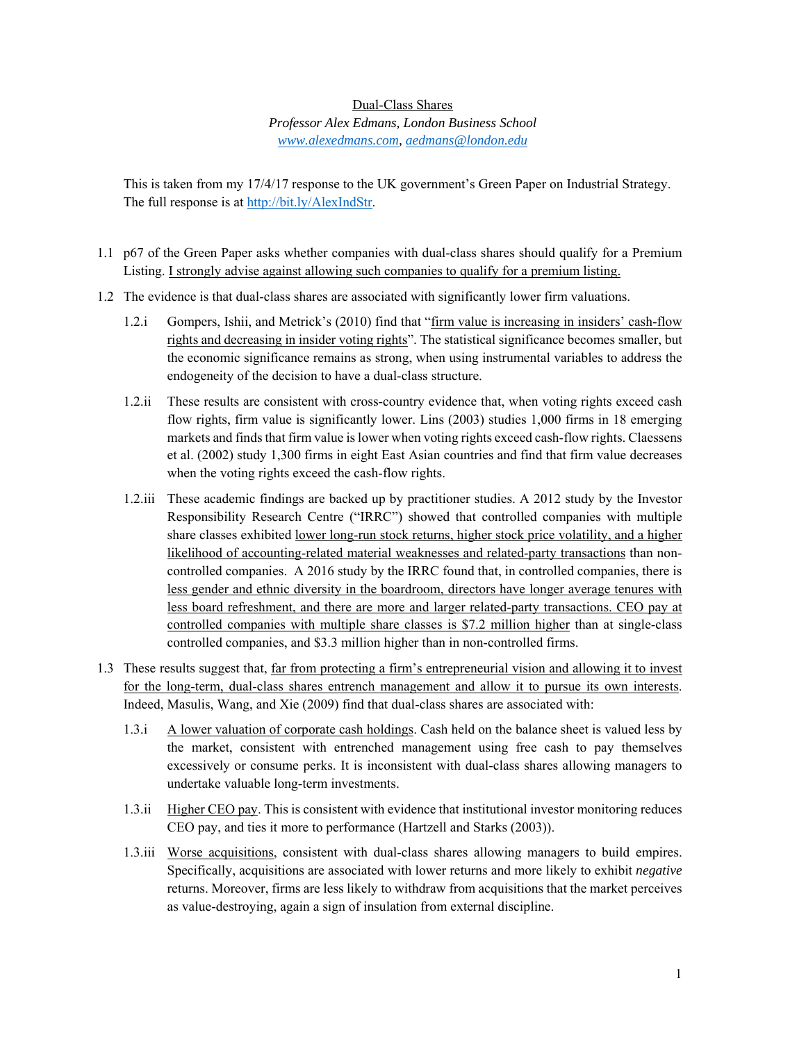## Dual-Class Shares

*Professor Alex Edmans, London Business School www.alexedmans.com, aedmans@london.edu* 

This is taken from my 17/4/17 response to the UK government's Green Paper on Industrial Strategy. The full response is at http://bit.ly/AlexIndStr.

- 1.1 p67 of the Green Paper asks whether companies with dual-class shares should qualify for a Premium Listing. I strongly advise against allowing such companies to qualify for a premium listing.
- 1.2 The evidence is that dual-class shares are associated with significantly lower firm valuations.
	- 1.2.i Gompers, Ishii, and Metrick's (2010) find that "firm value is increasing in insiders' cash-flow rights and decreasing in insider voting rights". The statistical significance becomes smaller, but the economic significance remains as strong, when using instrumental variables to address the endogeneity of the decision to have a dual-class structure.
	- 1.2.ii These results are consistent with cross-country evidence that, when voting rights exceed cash flow rights, firm value is significantly lower. Lins (2003) studies 1,000 firms in 18 emerging markets and finds that firm value is lower when voting rights exceed cash-flow rights. Claessens et al. (2002) study 1,300 firms in eight East Asian countries and find that firm value decreases when the voting rights exceed the cash-flow rights.
	- 1.2.iii These academic findings are backed up by practitioner studies. A 2012 study by the Investor Responsibility Research Centre ("IRRC") showed that controlled companies with multiple share classes exhibited lower long-run stock returns, higher stock price volatility, and a higher likelihood of accounting-related material weaknesses and related-party transactions than noncontrolled companies. A 2016 study by the IRRC found that, in controlled companies, there is less gender and ethnic diversity in the boardroom, directors have longer average tenures with less board refreshment, and there are more and larger related-party transactions. CEO pay at controlled companies with multiple share classes is \$7.2 million higher than at single-class controlled companies, and \$3.3 million higher than in non-controlled firms.
- 1.3 These results suggest that, far from protecting a firm's entrepreneurial vision and allowing it to invest for the long-term, dual-class shares entrench management and allow it to pursue its own interests. Indeed, Masulis, Wang, and Xie (2009) find that dual-class shares are associated with:
	- 1.3.i A lower valuation of corporate cash holdings. Cash held on the balance sheet is valued less by the market, consistent with entrenched management using free cash to pay themselves excessively or consume perks. It is inconsistent with dual-class shares allowing managers to undertake valuable long-term investments.
	- 1.3.ii Higher CEO pay. This is consistent with evidence that institutional investor monitoring reduces CEO pay, and ties it more to performance (Hartzell and Starks (2003)).
	- 1.3.iii Worse acquisitions, consistent with dual-class shares allowing managers to build empires. Specifically, acquisitions are associated with lower returns and more likely to exhibit *negative*  returns. Moreover, firms are less likely to withdraw from acquisitions that the market perceives as value-destroying, again a sign of insulation from external discipline.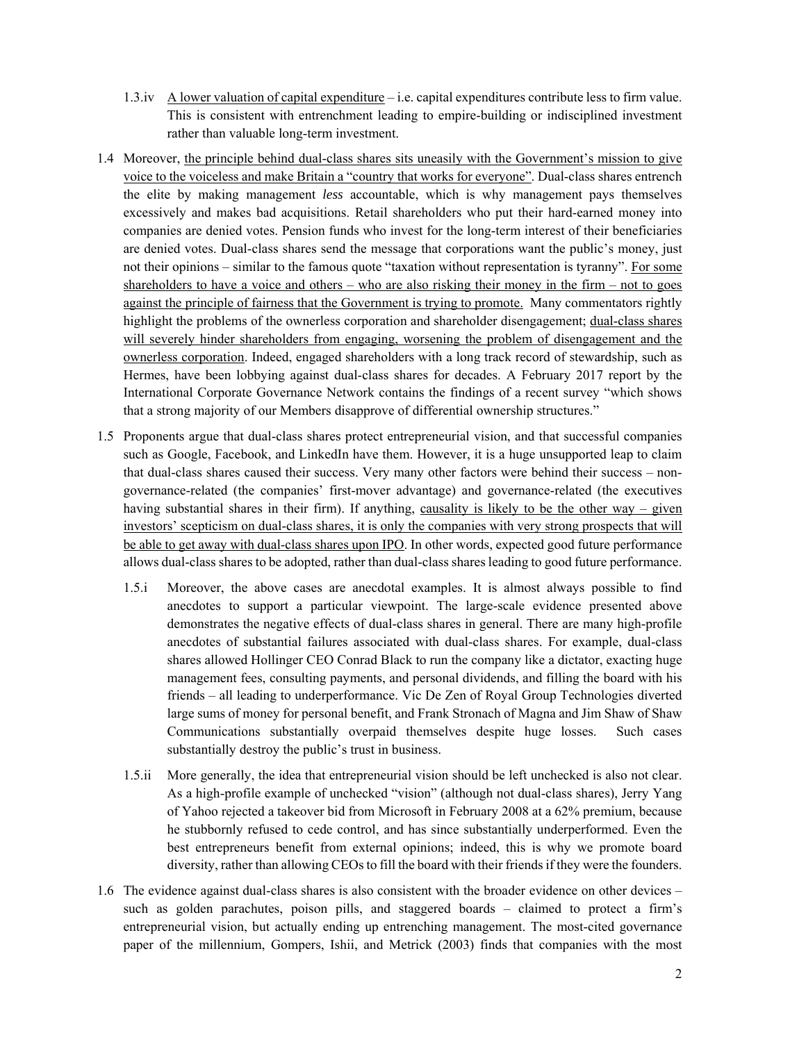- 1.3.iv A lower valuation of capital expenditure i.e. capital expenditures contribute less to firm value. This is consistent with entrenchment leading to empire-building or indisciplined investment rather than valuable long-term investment.
- 1.4 Moreover, the principle behind dual-class shares sits uneasily with the Government's mission to give voice to the voiceless and make Britain a "country that works for everyone". Dual-class shares entrench the elite by making management *less* accountable, which is why management pays themselves excessively and makes bad acquisitions. Retail shareholders who put their hard-earned money into companies are denied votes. Pension funds who invest for the long-term interest of their beneficiaries are denied votes. Dual-class shares send the message that corporations want the public's money, just not their opinions – similar to the famous quote "taxation without representation is tyranny". For some shareholders to have a voice and others – who are also risking their money in the firm – not to goes against the principle of fairness that the Government is trying to promote. Many commentators rightly highlight the problems of the ownerless corporation and shareholder disengagement; dual-class shares will severely hinder shareholders from engaging, worsening the problem of disengagement and the ownerless corporation. Indeed, engaged shareholders with a long track record of stewardship, such as Hermes, have been lobbying against dual-class shares for decades. A February 2017 report by the International Corporate Governance Network contains the findings of a recent survey "which shows that a strong majority of our Members disapprove of differential ownership structures."
- 1.5 Proponents argue that dual-class shares protect entrepreneurial vision, and that successful companies such as Google, Facebook, and LinkedIn have them. However, it is a huge unsupported leap to claim that dual-class shares caused their success. Very many other factors were behind their success – nongovernance-related (the companies' first-mover advantage) and governance-related (the executives having substantial shares in their firm). If anything, causality is likely to be the other way – given investors' scepticism on dual-class shares, it is only the companies with very strong prospects that will be able to get away with dual-class shares upon IPO. In other words, expected good future performance allows dual-class shares to be adopted, rather than dual-class shares leading to good future performance.
	- 1.5.i Moreover, the above cases are anecdotal examples. It is almost always possible to find anecdotes to support a particular viewpoint. The large-scale evidence presented above demonstrates the negative effects of dual-class shares in general. There are many high-profile anecdotes of substantial failures associated with dual-class shares. For example, dual-class shares allowed Hollinger CEO Conrad Black to run the company like a dictator, exacting huge management fees, consulting payments, and personal dividends, and filling the board with his friends – all leading to underperformance. Vic De Zen of Royal Group Technologies diverted large sums of money for personal benefit, and Frank Stronach of Magna and Jim Shaw of Shaw Communications substantially overpaid themselves despite huge losses. Such cases substantially destroy the public's trust in business.
	- 1.5.ii More generally, the idea that entrepreneurial vision should be left unchecked is also not clear. As a high-profile example of unchecked "vision" (although not dual-class shares), Jerry Yang of Yahoo rejected a takeover bid from Microsoft in February 2008 at a 62% premium, because he stubbornly refused to cede control, and has since substantially underperformed. Even the best entrepreneurs benefit from external opinions; indeed, this is why we promote board diversity, rather than allowing CEOs to fill the board with their friends if they were the founders.
- 1.6 The evidence against dual-class shares is also consistent with the broader evidence on other devices such as golden parachutes, poison pills, and staggered boards – claimed to protect a firm's entrepreneurial vision, but actually ending up entrenching management. The most-cited governance paper of the millennium, Gompers, Ishii, and Metrick (2003) finds that companies with the most